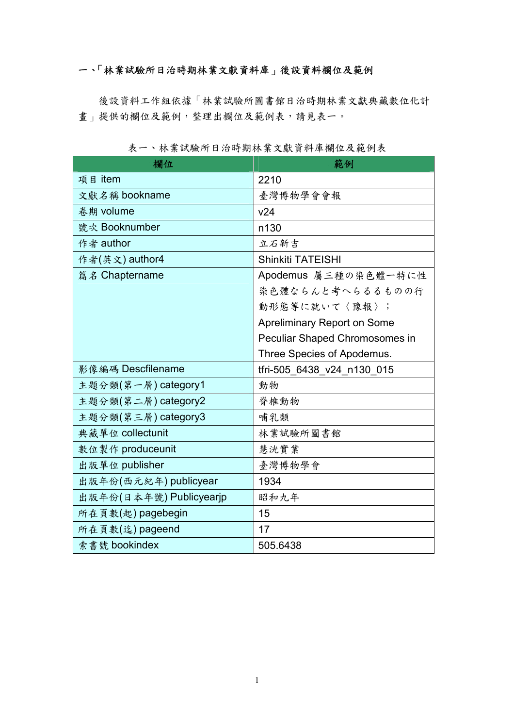# 一、「林業試驗所日治時期林業文獻資料庫」後設資料欄位及範例

後設資料工作組依據「林業試驗所圖書館日治時期林業文獻典藏數位化計 畫」提供的欄位及範例,整理出欄位及範例表,請見表一。

| 欄位                      | 範例                                 |
|-------------------------|------------------------------------|
| 項目 item                 | 2210                               |
| 文獻名稱 bookname           | 臺灣博物學會會報                           |
| 卷期 volume               | v24                                |
| 號次 Booknumber           | n130                               |
| 作者 author               | 立石新吉                               |
| 作者(英文) author4          | <b>Shinkiti TATEISHI</b>           |
| 篇名 Chaptername          | Apodemus 屬三種の染色體一特に性               |
|                         | 染色體ならんと考へらるるものの行                   |
|                         | 動形態等に就いて〈豫報〉;                      |
|                         | <b>Apreliminary Report on Some</b> |
|                         | Peculiar Shaped Chromosomes in     |
|                         | Three Species of Apodemus.         |
| 影像編碼 Descfilename       | tfri-505_6438_v24_n130_015         |
| 主題分類(第一層) category1     | 動物                                 |
| 主題分類(第二層) category2     | 脊椎動物                               |
| 主題分類(第三層) category3     | 哺乳類                                |
| 典藏單位 collectunit        | 林業試驗所圖書館                           |
| 數位製作 produceunit        | 慧洸實業                               |
| 出版單位 publisher          | 臺灣博物學會                             |
| 出版年份(西元紀年) publicyear   | 1934                               |
| 出版年份(日本年號) Publicyearjp | 昭和九年                               |
| 所在頁數(起) pagebegin       | 15                                 |
| 所在頁數(迄) pageend         | 17                                 |
| 索書號 bookindex           | 505.6438                           |

表一、林業試驗所日治時期林業文獻資料庫欄位及範例表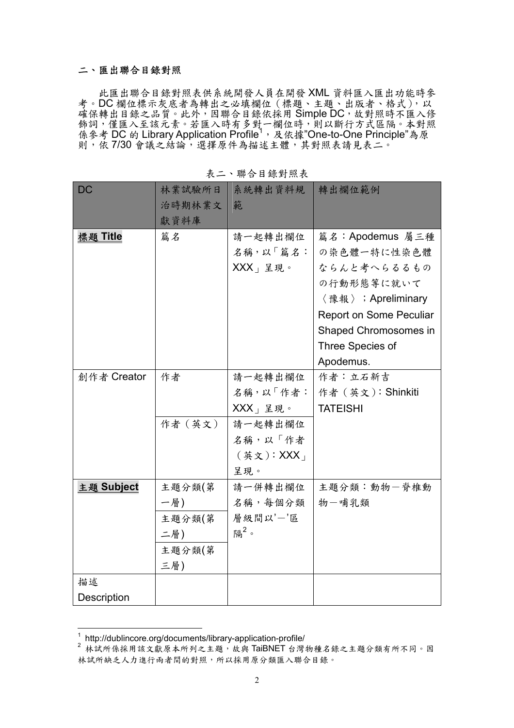### 二、匯出聯合目錄對照

此匯出聯合目錄對照表供系統開發人員在開發 XML 資料匯入匯出功能時參 考。DC 欄位標示灰底者為轉出之必填欄位(標題、主題、出版者、格式),以 確保轉出目錄之品質。此外,因聯合目錄依採用 Simple DC,故對照時不匯入修 飾詞,僅匯入至該元素。若匯入時有多對一欄位時,則以斷行方式區隔。本對照 **係參考 DC 的 Library Application Profile<sup>1</sup>, 及依據"One-to-One Principle"為原** 則,依7/30會議之結論,選擇原件為描述主體,其對照表請見表二。

| <b>DC</b>   | 林業試驗所日  | 系統轉出資料規          | 轉出欄位範例                  |
|-------------|---------|------------------|-------------------------|
|             | 治時期林業文  | 範                |                         |
|             | 獻資料庫    |                  |                         |
| 標題 Title    | 篇名      | 請一起轉出欄位          | 篇名: Apodemus 屬三種        |
|             |         | 名稱,以「篇名:         | の染色體一特に性染色體             |
|             |         | $XXX_+$ 呈現。      | ならんと考へらるるもの             |
|             |         |                  | の行動形態等に就いて              |
|             |         |                  | 〈豫報〉; Apreliminary      |
|             |         |                  | Report on Some Peculiar |
|             |         |                  | Shaped Chromosomes in   |
|             |         |                  | Three Species of        |
|             |         |                  | Apodemus.               |
| 創作者 Creator | 作者      | 請一起轉出欄位          | 作者:立石新吉                 |
|             |         | 名稱,以「作者:         | 作者 (英文): Shinkiti       |
|             |         | $XXX$ 」呈現。       | <b>TATEISHI</b>         |
|             | 作者 (英文) | 請一起轉出欄位          |                         |
|             |         | 名稱,以「作者          |                         |
|             |         | (英文): XXX        |                         |
|             |         | 呈現。              |                         |
| 主題 Subject  | 主題分類(第  | 請一併轉出欄位          | 主題分類:動物一脊椎動             |
|             | 一層)     | 名稱,每個分類          | 物一哺乳類                   |
|             | 主題分類(第  | 層級間以'一'區         |                         |
|             | 二層)     | 隔 <sup>2</sup> 。 |                         |
|             | 主題分類(第  |                  |                         |
|             | 三層)     |                  |                         |
| 描述          |         |                  |                         |
| Description |         |                  |                         |

表二、聯合目錄對照表

 1 http://dublincore.org/documents/library-application-profile/

<sup>2</sup> 林試所係採用該文獻原本所列之主題,故與 TaiBNET 台灣物種名錄之主題分類有所不同。因 林試所缺乏人力進行兩者間的對照,所以採用原分類匯入聯合目錄。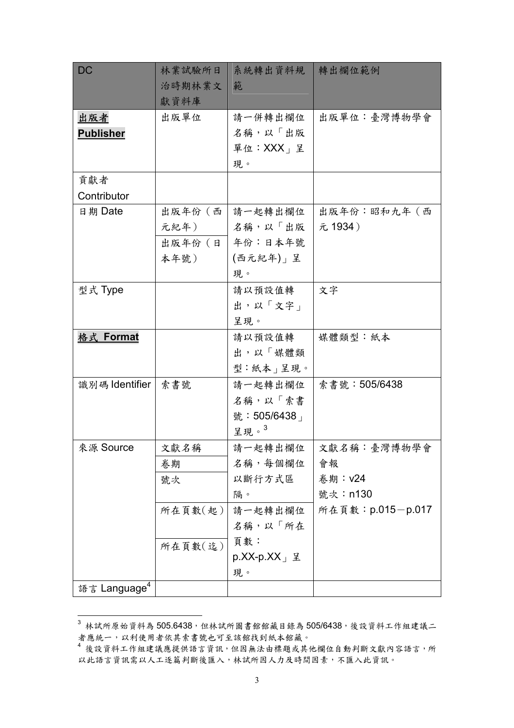| <b>DC</b>                | 林業試驗所日  | 系統轉出資料規                      | 轉出欄位範例            |
|--------------------------|---------|------------------------------|-------------------|
|                          | 治時期林業文  | 範                            |                   |
|                          | 獻資料庫    |                              |                   |
| 出版者                      | 出版單位    | 請一併轉出欄位                      | 出版單位:臺灣博物學會       |
| <b>Publisher</b>         |         | 名稱,以「出版                      |                   |
|                          |         | 單位: XXX」呈                    |                   |
|                          |         | 現。                           |                   |
| 貢獻者                      |         |                              |                   |
| Contributor              |         |                              |                   |
| 日期 Date                  | 出版年份(西  | 請一起轉出欄位                      | 出版年份:昭和九年(西       |
|                          | 元紀年)    | 名稱,以「出版                      | 元 1934)           |
|                          | 出版年份 (日 | 年份:日本年號                      |                   |
|                          | 本年號)    | (西元紀年)」呈                     |                   |
|                          |         | 現。                           |                   |
| 型式 Type                  |         | 請以預設值轉                       | 文字                |
|                          |         | 出,以「文字」                      |                   |
|                          |         | 呈現。                          |                   |
| 格式 Format                |         | 請以預設值轉                       | 媒體類型:紙本           |
|                          |         | 出,以「媒體類                      |                   |
|                          |         | 型:紙本」呈現。                     |                   |
| 識別碼 Identifier           | 索書號     | 請一起轉出欄位                      | 索書號:505/6438      |
|                          |         | 名稱,以「索書                      |                   |
|                          |         | 號: 505/6438                  |                   |
|                          |         | 呈現。3                         |                   |
| 來源 Source                | 文獻名稱    | 請一起轉出欄位                      | 文獻名稱:臺灣博物學會       |
|                          | 卷期      | 名稱, 每個欄位                     | 會報                |
|                          | 號次      | 以斷行方式區                       | 卷期: v24           |
|                          |         | 隔。                           | 號次: n130          |
|                          | 所在頁數(起) | 請一起轉出欄位                      | 所在頁數: p.015-p.017 |
|                          |         | 名稱,以「所在                      |                   |
|                          | 所在頁數(迄) | 頁數:                          |                   |
|                          |         | $p.XX-p.XX \perp \nsubseteq$ |                   |
|                          |         | 現。                           |                   |
| 語言 Language <sup>4</sup> |         |                              |                   |

 $^3$ 林試所原始資料為 505.6438,但林試所圖書館館藏目錄為 505/6438,後設資料工作組建議二 者應統一,以利使用者依其索書號也可至該館找到紙本館藏。

 $\overline{a}$ 

<sup>4 %%。&</sup>lt;br>4 後設資料工作組建議應提供語言資訊,但因無法由標題或其他欄位自動判斷文獻內容語言,所 以此語言資訊需以人工逐篇判斷後匯入,林試所因人力及時間因素,不匯入此資訊。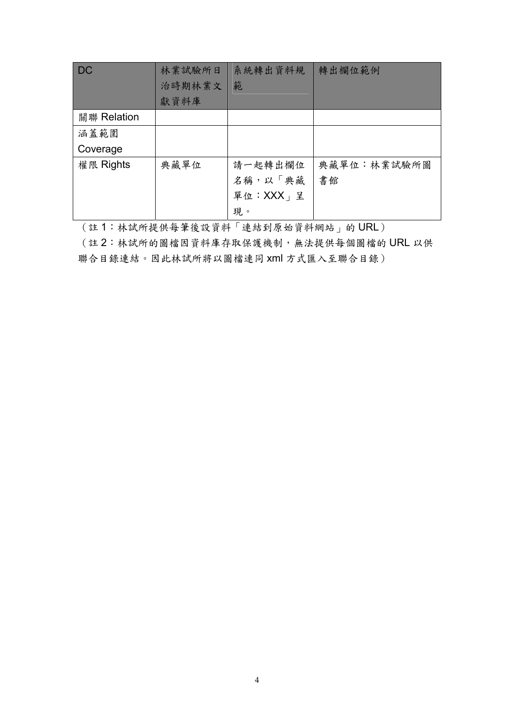| <b>DC</b>   | 林業試驗所日 | 系統轉出資料規       | 轉出欄位範例      |
|-------------|--------|---------------|-------------|
|             | 治時期林業文 | 範             |             |
|             | 獻資料庫   |               |             |
| 關聯 Relation |        |               |             |
| 涵蓋範圍        |        |               |             |
| Coverage    |        |               |             |
| 權限 Rights   | 典藏單位   | 請一起轉出欄位       | 典藏單位:林業試驗所圖 |
|             |        | 名稱,以「典藏       | 書館          |
|             |        | 單位: $XXX_1$ 呈 |             |
|             |        | 現。            |             |

(註 1:林試所提供每筆後設資料「連結到原始資料網站」的 URL)

(註 2:林試所的圖檔因資料庫存取保護機制,無法提供每個圖檔的 URL 以供 聯合目錄連結。因此林試所將以圖檔連同 xml 方式匯入至聯合目錄)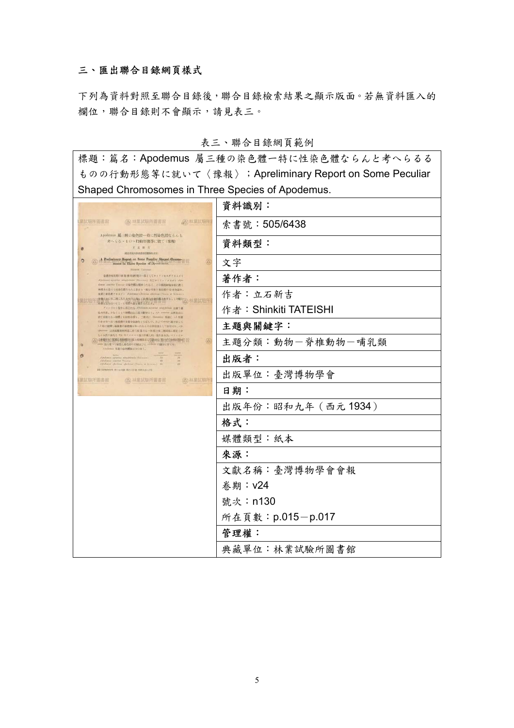## 三、匯出聯合目錄網頁樣式

下列為資料對照至聯合目錄後,聯合目錄檢索結果之顯示版面。若無資料匯入的 欄位,聯合目錄則不會顯示,請見表三。

### 表三、聯合目錄網頁範例

標題:篇名:Apodemus 屬三種の染色體一特に性染色體ならんと考へらるる ものの行動形態等に就いて〈豫報〉;Apreliminary Report on Some Peculiar Shaped Chromosomes in Three Species of Apodemus.

|                                                                                                                                                                       | 資料識別:                 |
|-----------------------------------------------------------------------------------------------------------------------------------------------------------------------|-----------------------|
| (公 林葉試驗所圖書館 (公 林葉試驗所)<br>星試驗所圖書館                                                                                                                                      | 索書號: 505/6438         |
| Apodemus 風三種の染色體–特に性染色體ならんと<br>考へらる·6の、行動形態等に就て (縁報)<br>工石制富<br>現在市地入学住血事部数かさせま                                                                                       | 資料類型:                 |
| A Freliminary Report on Some Porning Shaped Chromosomer in Three Species of Treesday,<br>$\circ$<br>Galakin Taxona                                                    | 文字                    |
| ※発売結花期日経施 基約研究ロー部としてタイツンセスデアスネズミ<br>Apolemni arrasine singpornis (Susance) BUATTSTAAKI Apo<br>done) somitist Tomase の染色感を観察したらに、その相談相談を開に際し                           | 著作者:                  |
| 再者共に恐らく社論を踏ならんと思はる、幅も特異の染色館の存在を認め、<br>在第12世纪进下》主义( J Polemas s ferricos s policias (Thurs. at Schutz))<br>▲輸の名に第二期に見たる人の人場への試験なの地を築となすることを確立へ、林業試験所                   | 作者:立石新吉               |
| 「お得たなみロウモニ+にもの人製を紹告を大士を」<br>アッパリート型作に用ひたる APolonic agratius ving primais は勝てる<br>走州所港、少なくとも小浜館は上に就き観察セリ。オル control は阿里山に<br>時で付援せる→回想より材料を探り、二種周に Flemming 個波に 1-5 信星 | 作者: Shinkiti TATEISHI |
| 印水を加っ孔つみ配像の分享を自動的とせるもの、及び Classry 液を固じく<br>13 信に結構し保護量の承認機を加ったるものを認定金として使用できょう。<br>epointer は地质量単純産近に於て採集せる一個 置を発ニ解説相に関連しを                                            | 主題與關鍵字:               |
| しく水性の強えそ「伝」のフォニママ設に貯蔵し粒一目圧進水圧、バラフキン<br>(A) (本集管理) 国国首相相对的部分和维利用与受精地位 30 分子的每件(特别) 22<br>● 法に見つて始告し染告行の比較及びに ※ 市場 の間部に開せる。<br>Anders 各種の染色管製は大の部と。                     | 主題分類:動物一脊椎動物一哺乳類      |
| Apolonic agentia singpicule (Saccore)<br>Afterlanger afterlange afterlanger (Thorn, et Bernard) and                                                                   | 出版者:                  |
| DESIGNATION INCOME INVESTIGATION<br>(公林菜試驗所<br>菜試驗所圖書館<br><b>公林菜試驗所圖書館</b>                                                                                            | 出版單位:臺灣博物學會           |
|                                                                                                                                                                       | 日期:                   |
|                                                                                                                                                                       | 出版年份:昭和九年 (西元1934)    |
|                                                                                                                                                                       | 格式:                   |
|                                                                                                                                                                       | 媒體類型:紙本               |
|                                                                                                                                                                       | 來源:                   |
|                                                                                                                                                                       | 文獻名稱:臺灣博物學會會報         |
|                                                                                                                                                                       | 卷期: v24               |
|                                                                                                                                                                       | 號次: n130              |
|                                                                                                                                                                       | 所在頁數: p.015-p.017     |
|                                                                                                                                                                       | 管理權:                  |
|                                                                                                                                                                       | 典藏單位:林業試驗所圖書館         |